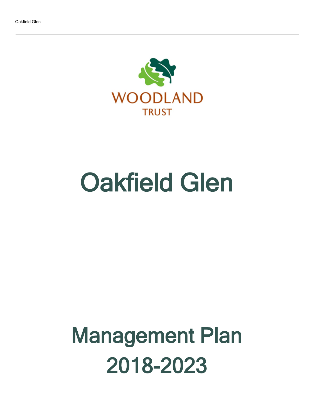

# Oakfield Glen

## Management Plan 2018-2023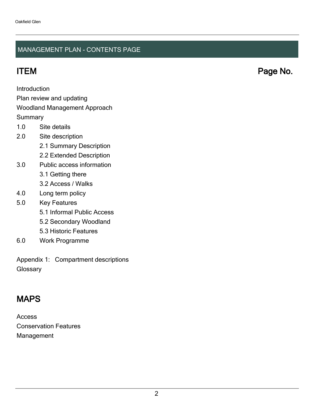### MANAGEMENT PLAN - CONTENTS PAGE

ITEM Page No.

Introduction

Plan review and updating

#### Woodland Management Approach

**Summary** 

- 1.0 Site details
- 2.0 Site description
	- 2.1 Summary Description
	- 2.2 Extended Description
- 3.0 Public access information
	- 3.1 Getting there
	- 3.2 Access / Walks
- 4.0 Long term policy
- 5.0 Key Features
	- 5.1 Informal Public Access
	- 5.2 Secondary Woodland
	- 5.3 Historic Features
- 6.0 Work Programme

Appendix 1: Compartment descriptions **Glossary** 

## MAPS

Access Conservation Features Management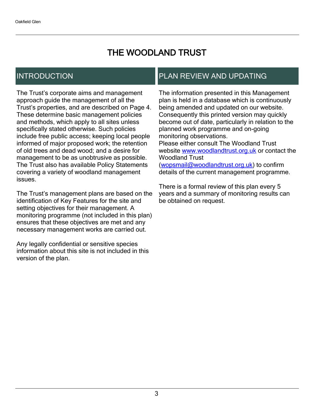## THE WOODLAND TRUST

## INTRODUCTION

The Trust's corporate aims and management approach guide the management of all the Trust's properties, and are described on Page 4. These determine basic management policies and methods, which apply to all sites unless specifically stated otherwise. Such policies include free public access; keeping local people informed of major proposed work; the retention of old trees and dead wood; and a desire for management to be as unobtrusive as possible. The Trust also has available Policy Statements covering a variety of woodland management issues.

The Trust's management plans are based on the identification of Key Features for the site and setting objectives for their management. A monitoring programme (not included in this plan) ensures that these objectives are met and any necessary management works are carried out.

Any legally confidential or sensitive species information about this site is not included in this version of the plan.

## PLAN REVIEW AND UPDATING

The information presented in this Management plan is held in a database which is continuously being amended and updated on our website. Consequently this printed version may quickly become out of date, particularly in relation to the planned work programme and on-going monitoring observations. Please either consult The Woodland Trust website [www.woodlandtrust.org.uk](http://www.woodlandtrust.org.uk/) or contact the Woodland Trust [\(wopsmail@woodlandtrust.org.uk](mailto:wopsmail@woodlandtrust.org.uk)) to confirm

details of the current management programme.

There is a formal review of this plan every 5 years and a summary of monitoring results can be obtained on request.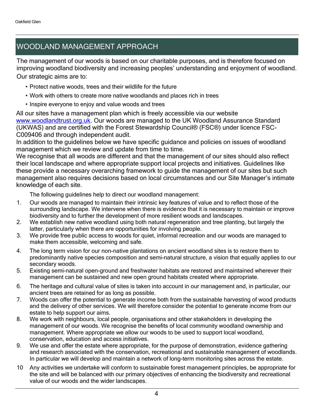## WOODLAND MANAGEMENT APPROACH

The management of our woods is based on our charitable purposes, and is therefore focused on improving woodland biodiversity and increasing peoples' understanding and enjoyment of woodland. Our strategic aims are to:

- Protect native woods, trees and their wildlife for the future
- Work with others to create more native woodlands and places rich in trees
- Inspire everyone to enjoy and value woods and trees

All our sites have a management plan which is freely accessible via our website [www.woodlandtrust.org.uk.](http://www.woodlandtrust.org.uk/) Our woods are managed to the UK Woodland Assurance Standard (UKWAS) and are certified with the Forest Stewardship Council® (FSC®) under licence FSC-C009406 and through independent audit.

In addition to the guidelines below we have specific guidance and policies on issues of woodland management which we review and update from time to time.

We recognise that all woods are different and that the management of our sites should also reflect their local landscape and where appropriate support local projects and initiatives. Guidelines like these provide a necessary overarching framework to guide the management of our sites but such management also requires decisions based on local circumstances and our Site Manager's intimate knowledge of each site.

The following guidelines help to direct our woodland management:

- 1. Our woods are managed to maintain their intrinsic key features of value and to reflect those of the surrounding landscape. We intervene when there is evidence that it is necessary to maintain or improve biodiversity and to further the development of more resilient woods and landscapes.
- 2. We establish new native woodland using both natural regeneration and tree planting, but largely the latter, particularly when there are opportunities for involving people.
- 3. We provide free public access to woods for quiet, informal recreation and our woods are managed to make them accessible, welcoming and safe.
- 4. The long term vision for our non-native plantations on ancient woodland sites is to restore them to predominantly native species composition and semi-natural structure, a vision that equally applies to our secondary woods.
- 5. Existing semi-natural open-ground and freshwater habitats are restored and maintained wherever their management can be sustained and new open ground habitats created where appropriate.
- 6. The heritage and cultural value of sites is taken into account in our management and, in particular, our ancient trees are retained for as long as possible.
- 7. Woods can offer the potential to generate income both from the sustainable harvesting of wood products and the delivery of other services. We will therefore consider the potential to generate income from our estate to help support our aims.
- 8. We work with neighbours, local people, organisations and other stakeholders in developing the management of our woods. We recognise the benefits of local community woodland ownership and management. Where appropriate we allow our woods to be used to support local woodland, conservation, education and access initiatives.
- 9. We use and offer the estate where appropriate, for the purpose of demonstration, evidence gathering and research associated with the conservation, recreational and sustainable management of woodlands. In particular we will develop and maintain a network of long-term monitoring sites across the estate.
- 10 Any activities we undertake will conform to sustainable forest management principles, be appropriate for the site and will be balanced with our primary objectives of enhancing the biodiversity and recreational value of our woods and the wider landscapes.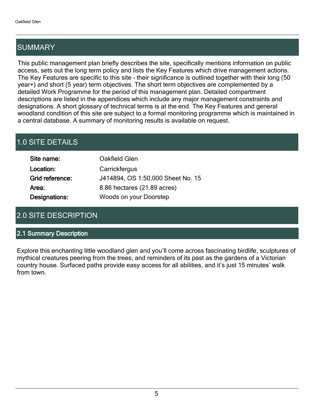## SUMMARY

This public management plan briefly describes the site, specifically mentions information on public access, sets out the long term policy and lists the Key Features which drive management actions. The Key Features are specific to this site - their significance is outlined together with their long (50 year+) and short (5 year) term objectives. The short term objectives are complemented by a detailed Work Programme for the period of this management plan. Detailed compartment descriptions are listed in the appendices which include any major management constraints and designations. A short glossary of technical terms is at the end. The Key Features and general woodland condition of this site are subject to a formal monitoring programme which is maintained in a central database. A summary of monitoring results is available on request.

## 1.0 SITE DETAILS

| Site name:      | Oakfield Glen                     |
|-----------------|-----------------------------------|
| Location:       | Carrickfergus                     |
| Grid reference: | J414894, OS 1:50,000 Sheet No. 15 |
| Area:           | 8.86 hectares (21.89 acres)       |
| Designations:   | Woods on your Doorstep            |

## 2.0 SITE DESCRIPTION

#### 2.1 Summary Description

Explore this enchanting little woodland glen and you'll come across fascinating birdlife, sculptures of mythical creatures peering from the trees, and reminders of its past as the gardens of a Victorian country house. Surfaced paths provide easy access for all abilities, and it's just 15 minutes' walk from town.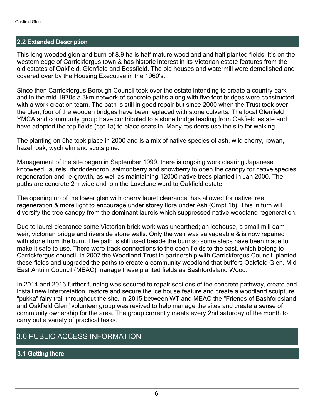#### 2.2 Extended Description

This long wooded glen and burn of 8.9 ha is half mature woodland and half planted fields. It's on the western edge of Carrickfergus town & has historic interest in its Victorian estate features from the old estates of Oakfield, Glenfield and Bessfield. The old houses and watermill were demolished and covered over by the Housing Executive in the 1960's.

Since then Carrickfergus Borough Council took over the estate intending to create a country park and in the mid 1970s a 3km network of concrete paths along with five foot bridges were constructed with a work creation team. The path is still in good repair but since 2000 when the Trust took over the glen, four of the wooden bridges have been replaced with stone culverts. The local Glenfield YMCA and community group have contributed to a stone bridge leading from Oakfield estate and have adopted the top fields (cpt 1a) to place seats in. Many residents use the site for walking.

The planting on 5ha took place in 2000 and is a mix of native species of ash, wild cherry, rowan, hazel, oak, wych elm and scots pine.

Management of the site began in September 1999, there is ongoing work clearing Japanese knotweed, laurels, rhododendron, salmonberry and snowberry to open the canopy for native species regeneration and re-growth, as well as maintaining 12000 native trees planted in Jan 2000. The paths are concrete 2m wide and join the Lovelane ward to Oakfield estate.

The opening up of the lower glen with cherry laurel clearance, has allowed for native tree regeneration & more light to encourage under storey flora under Ash (Cmpt 1b). This in turn will diversify the tree canopy from the dominant laurels which suppressed native woodland regeneration.

Due to laurel clearance some Victorian brick work was unearthed; an icehouse, a small mill dam weir, victorian bridge and riverside stone walls. Only the weir was salvageable & is now repaired with stone from the burn. The path is still used beside the burn so some steps have been made to make it safe to use. There were track connections to the open fields to the east, which belong to Carrickfergus council. In 2007 the Woodland Trust in partnership with Carrickfergus Council planted these fields and upgraded the paths to create a community woodland that buffers Oakfield Glen. Mid East Antrim Council (MEAC) manage these planted fields as Bashfordsland Wood.

In 2014 and 2016 further funding was secured to repair sections of the concrete pathway, create and install new interpretation, restore and secure the ice house feature and create a woodland sculpture "pukka" fairy trail throughout the site. In 2015 between WT and MEAC the "Friends of Bashfordsland and Oakfield Glen" volunteer group was revived to help manage the sites and create a sense of community ownership for the area. The group currently meets every 2nd saturday of the month to carry out a variety of practical tasks.

### 3.0 PUBLIC ACCESS INFORMATION

#### 3.1 Getting there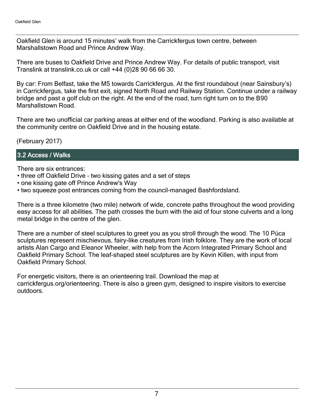Oakfield Glen is around 15 minutes' walk from the Carrickfergus town centre, between Marshallstown Road and Prince Andrew Way.

There are buses to Oakfield Drive and Prince Andrew Way. For details of public transport, visit Translink at translink.co.uk or call +44 (0)28 90 66 66 30.

By car: From Belfast, take the M5 towards Carrickfergus. At the first roundabout (near Sainsbury's) in Carrickfergus, take the first exit, signed North Road and Railway Station. Continue under a railway bridge and past a golf club on the right. At the end of the road, turn right turn on to the B90 Marshallstown Road.

There are two unofficial car parking areas at either end of the woodland. Parking is also available at the community centre on Oakfield Drive and in the housing estate.

(February 2017)

#### 3.2 Access / Walks

There are six entrances:

- three off Oakfield Drive two kissing gates and a set of steps
- one kissing gate off Prince Andrew's Way
- two squeeze post entrances coming from the council-managed Bashfordsland.

There is a three kilometre (two mile) network of wide, concrete paths throughout the wood providing easy access for all abilities. The path crosses the burn with the aid of four stone culverts and a long metal bridge in the centre of the glen.

There are a number of steel sculptures to greet you as you stroll through the wood. The 10 Púca sculptures represent mischievous, fairy-like creatures from Irish folklore. They are the work of local artists Alan Cargo and Eleanor Wheeler, with help from the Acorn Integrated Primary School and Oakfield Primary School. The leaf-shaped steel sculptures are by Kevin Killen, with input from Oakfield Primary School.

For energetic visitors, there is an orienteering trail. Download the map at carrickfergus.org/orienteering. There is also a green gym, designed to inspire visitors to exercise outdoors.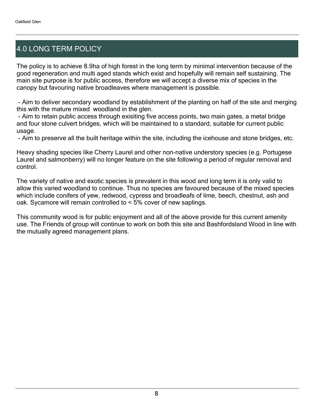## 4.0 LONG TERM POLICY

The policy is to achieve 8.9ha of high forest in the long term by minimal intervention because of the good regeneration and multi aged stands which exist and hopefully will remain self sustaining. The main site purpose is for public access, therefore we will accept a diverse mix of species in the canopy but favouring native broadleaves where management is possible.

 - Aim to deliver secondary woodland by establishment of the planting on half of the site and merging this with the mature mixed woodland in the glen.

 - Aim to retain public access through exisiting five access points, two main gates, a metal bridge and four stone culvert bridges, which will be maintained to a standard, suitable for current public usage.

- Aim to preserve all the built heritage within the site, including the icehouse and stone bridges, etc.

Heavy shading species like Cherry Laurel and other non-native understory species (e.g. Portugese Laurel and salmonberry) will no longer feature on the site following a period of regular removal and control.

The variety of native and exotic species is prevalent in this wood and long term it is only valid to allow this varied woodland to continue. Thus no species are favoured because of the mixed species which include conifers of yew, redwood, cypress and broadleafs of lime, beech, chestnut, ash and oak. Sycamore will remain controlled to < 5% cover of new saplings.

This community wood is for public enjoyment and all of the above provide for this current amenity use. The Friends of group will continue to work on both this site and Bashfordsland Wood in line with the mutually agreed management plans.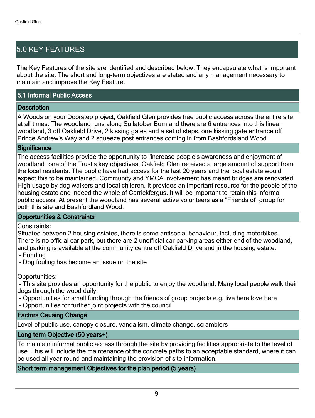## 5.0 KEY FEATURES

The Key Features of the site are identified and described below. They encapsulate what is important about the site. The short and long-term objectives are stated and any management necessary to maintain and improve the Key Feature.

#### 5.1 Informal Public Access

#### **Description**

A Woods on your Doorstep project, Oakfield Glen provides free public access across the entire site at all times. The woodland runs along Sullatober Burn and there are 6 entrances into this linear woodland, 3 off Oakfield Drive, 2 kissing gates and a set of steps, one kissing gate entrance off Prince Andrew's Way and 2 squeeze post entrances coming in from Bashfordsland Wood.

#### **Significance**

The access facilities provide the opportunity to "increase people's awareness and enjoyment of woodland" one of the Trust's key objectives. Oakfield Glen received a large amount of support from the local residents. The public have had access for the last 20 years and the local estate would expect this to be maintained. Community and YMCA involvement has meant bridges are renovated. High usage by dog walkers and local children. It provides an important resource for the people of the housing estate and indeed the whole of Carrickfergus. It will be important to retain this informal public access. At present the woodland has several active volunteers as a "Friends of" group for both this site and Bashfordland Wood.

#### Opportunities & Constraints

#### Constraints:

Situated between 2 housing estates, there is some antisocial behaviour, including motorbikes. There is no official car park, but there are 2 unofficial car parking areas either end of the woodland, and parking is available at the community centre off Oakfield Drive and in the housing estate. - Funding

- Dog fouling has become an issue on the site

Opportunities:

 - This site provides an opportunity for the public to enjoy the woodland. Many local people walk their dogs through the wood daily.

- Opportunities for small funding through the friends of group projects e.g. live here love here
- Opportunities for further joint projects with the council

#### Factors Causing Change

Level of public use, canopy closure, vandalism, climate change, scramblers

#### Long term Objective (50 years+)

To maintain informal public access through the site by providing facilities appropriate to the level of use. This will include the maintenance of the concrete paths to an acceptable standard, where it can be used all year round and maintaining the provision of site information.

#### Short term management Objectives for the plan period (5 years)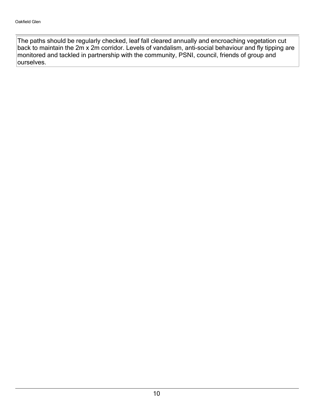The paths should be regularly checked, leaf fall cleared annually and encroaching vegetation cut back to maintain the 2m x 2m corridor. Levels of vandalism, anti-social behaviour and fly tipping are monitored and tackled in partnership with the community, PSNI, council, friends of group and ourselves.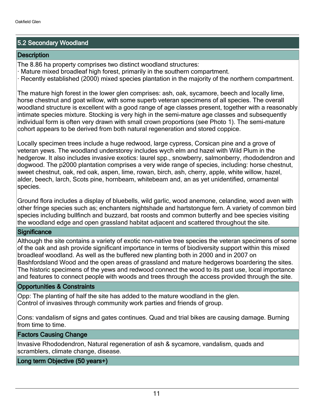### 5.2 Secondary Woodland

#### **Description**

The 8.86 ha property comprises two distinct woodland structures:

 $\cdot$  Mature mixed broadleaf high forest, primarily in the southern compartment.

Recently established (2000) mixed species plantation in the majority of the northern compartment.

The mature high forest in the lower glen comprises: ash, oak, sycamore, beech and locally lime, horse chestnut and goat willow, with some superb veteran specimens of all species. The overall woodland structure is excellent with a good range of age classes present, together with a reasonably intimate species mixture. Stocking is very high in the semi-mature age classes and subsequently individual form is often very drawn with small crown proportions (see Photo 1). The semi-mature cohort appears to be derived from both natural regeneration and stored coppice.

Locally specimen trees include a huge redwood, large cypress, Corsican pine and a grove of veteran yews. The woodland understorey includes wych elm and hazel with Wild Plum in the hedgerow. It also includes invasive exotics: laurel spp., snowberry, salmonberry, rhododendron and dogwood. The p2000 plantation comprises a very wide range of species, including: horse chestnut, sweet chestnut, oak, red oak, aspen, lime, rowan, birch, ash, cherry, apple, white willow, hazel, alder, beech, larch, Scots pine, hornbeam, whitebeam and, an as yet unidentified, ornamental species.

Ground flora includes a display of bluebells, wild garlic, wood anemone, celandine, wood aven with other fringe species such as; enchanters nightshade and hartstongue fern. A variety of common bird species including bullfinch and buzzard, bat roosts and common butterfly and bee species visiting the woodland edge and open grassland habitat adjacent and scattered throughout the site.

#### **Significance**

Although the site contains a variety of exotic non-native tree species the veteran specimens of some of the oak and ash provide significant importance in terms of biodiversity support within this mixed broadleaf woodland. As well as the buffered new planting both in 2000 and in 2007 on Bashfordsland Wood and the open areas of grassland and mature hedgerows boardering the sites. The historic specimens of the yews and redwood connect the wood to its past use, local importance and features to connect people with woods and trees through the access provided through the site.

#### Opportunities & Constraints

Opp: The planting of half the site has added to the mature woodland in the glen. Control of invasives through community work parties and friends of group.

Cons: vandalism of signs and gates continues. Quad and trial bikes are causing damage. Burning from time to time.

#### Factors Causing Change

Invasive Rhododendron, Natural regeneration of ash & sycamore, vandalism, quads and scramblers, climate change, disease.

#### Long term Objective (50 years+)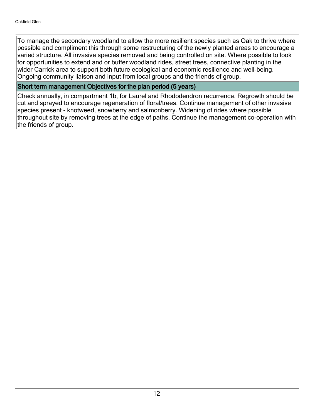To manage the secondary woodland to allow the more resilient species such as Oak to thrive where possible and compliment this through some restructuring of the newly planted areas to encourage a varied structure. All invasive species removed and being controlled on site. Where possible to look for opportunities to extend and or buffer woodland rides, street trees, connective planting in the wider Carrick area to support both future ecological and economic resilience and well-being. Ongoing community liaison and input from local groups and the friends of group.

#### Short term management Objectives for the plan period (5 years)

Check annually, in compartment 1b, for Laurel and Rhododendron recurrence. Regrowth should be cut and sprayed to encourage regeneration of floral/trees. Continue management of other invasive species present - knotweed, snowberry and salmonberry. Widening of rides where possible throughout site by removing trees at the edge of paths. Continue the management co-operation with the friends of group.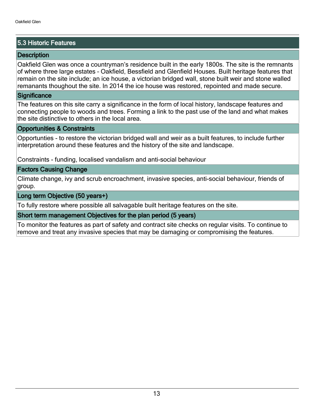#### 5.3 Historic Features

#### **Description**

Oakfield Glen was once a countryman's residence built in the early 1800s. The site is the remnants of where three large estates - Oakfield, Bessfield and Glenfield Houses. Built heritage features that remain on the site include; an ice house, a victorian bridged wall, stone built weir and stone walled remanants thoughout the site. In 2014 the ice house was restored, repointed and made secure.

#### **Significance**

The features on this site carry a significance in the form of local history, landscape features and connecting people to woods and trees. Forming a link to the past use of the land and what makes the site distinctive to others in the local area.

#### Opportunities & Constraints

Opportunties - to restore the victorian bridged wall and weir as a built features, to include further interpretation around these features and the history of the site and landscape.

Constraints - funding, localised vandalism and anti-social behaviour

#### Factors Causing Change

Climate change, ivy and scrub encroachment, invasive species, anti-social behaviour, friends of group.

#### Long term Objective (50 years+)

To fully restore where possible all salvagable built heritage features on the site.

#### Short term management Objectives for the plan period (5 years)

To monitor the features as part of safety and contract site checks on regular visits. To continue to remove and treat any invasive species that may be damaging or compromising the features.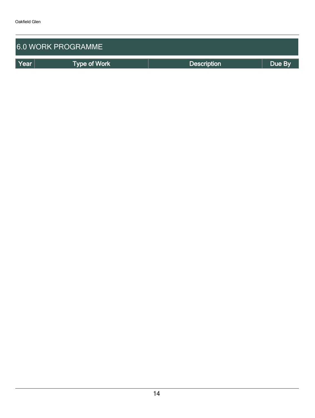| <b>6.0 WORK PROGRAMME</b> |                     |                    |        |  |  |  |  |  |
|---------------------------|---------------------|--------------------|--------|--|--|--|--|--|
| Year                      | <b>Type of Work</b> | <b>Description</b> | Due By |  |  |  |  |  |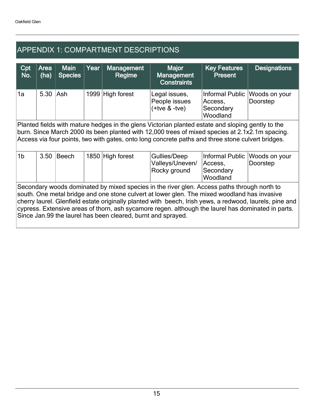## APPENDIX 1: COMPARTMENT DESCRIPTIONS

| Cpt<br>No.                                                                                                                                                                                                                                                                                                                                                                                                                                                                   | Area<br>(ha) | <b>Main</b><br><b>Species</b> | Year | <b>Management</b><br>Regime | <b>Major</b><br><b>Management</b><br><b>Constraints</b> | <b>Key Features</b><br><b>Present</b>               | <b>Designations</b>       |  |  |
|------------------------------------------------------------------------------------------------------------------------------------------------------------------------------------------------------------------------------------------------------------------------------------------------------------------------------------------------------------------------------------------------------------------------------------------------------------------------------|--------------|-------------------------------|------|-----------------------------|---------------------------------------------------------|-----------------------------------------------------|---------------------------|--|--|
| 1a                                                                                                                                                                                                                                                                                                                                                                                                                                                                           | 5.30 Ash     |                               |      | 1999 High forest            | Legal issues,<br>People issues<br>$(+$ tve $& -$ tve)   | Informal Public<br>Access,<br>Secondary<br>Woodland | Woods on your<br>Doorstep |  |  |
| Planted fields with mature hedges in the glens Victorian planted estate and sloping gently to the<br>burn. Since March 2000 its been planted with 12,000 trees of mixed species at 2.1x2.1m spacing.<br>Access via four points, two with gates, onto long concrete paths and three stone culvert bridges.                                                                                                                                                                    |              |                               |      |                             |                                                         |                                                     |                           |  |  |
| 1 <sub>b</sub>                                                                                                                                                                                                                                                                                                                                                                                                                                                               | 3.50         | Beech                         |      | 1850 High forest            | Gullies/Deep<br>Valleys/Uneven/<br>Rocky ground         | Informal Public<br>Access,<br>Secondary<br>Woodland | Woods on your<br>Doorstep |  |  |
| Secondary woods dominated by mixed species in the river glen. Access paths through north to<br>south. One metal bridge and one stone culvert at lower glen. The mixed woodland has invasive<br>cherry laurel. Glenfield estate originally planted with beech, Irish yews, a redwood, laurels, pine and<br>cypress. Extensive areas of thorn, ash sycamore regen. although the laurel has dominated in parts.<br>Since Jan.99 the laurel has been cleared, burnt and sprayed. |              |                               |      |                             |                                                         |                                                     |                           |  |  |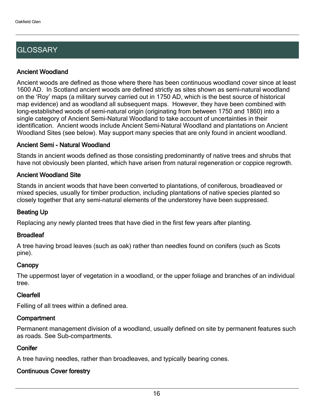## **GLOSSARY**

#### Ancient Woodland

Ancient woods are defined as those where there has been continuous woodland cover since at least 1600 AD. In Scotland ancient woods are defined strictly as sites shown as semi-natural woodland on the 'Roy' maps (a military survey carried out in 1750 AD, which is the best source of historical map evidence) and as woodland all subsequent maps. However, they have been combined with long-established woods of semi-natural origin (originating from between 1750 and 1860) into a single category of Ancient Semi-Natural Woodland to take account of uncertainties in their identification. Ancient woods include Ancient Semi-Natural Woodland and plantations on Ancient Woodland Sites (see below). May support many species that are only found in ancient woodland.

#### Ancient Semi - Natural Woodland

Stands in ancient woods defined as those consisting predominantly of native trees and shrubs that have not obviously been planted, which have arisen from natural regeneration or coppice regrowth.

#### Ancient Woodland Site

Stands in ancient woods that have been converted to plantations, of coniferous, broadleaved or mixed species, usually for timber production, including plantations of native species planted so closely together that any semi-natural elements of the understorey have been suppressed.

#### Beating Up

Replacing any newly planted trees that have died in the first few years after planting.

#### **Broadleaf**

A tree having broad leaves (such as oak) rather than needles found on conifers (such as Scots pine).

#### **Canopy**

The uppermost layer of vegetation in a woodland, or the upper foliage and branches of an individual tree.

#### Clearfell

Felling of all trees within a defined area.

#### **Compartment**

Permanent management division of a woodland, usually defined on site by permanent features such as roads. See Sub-compartments.

#### **Conifer**

A tree having needles, rather than broadleaves, and typically bearing cones.

#### Continuous Cover forestry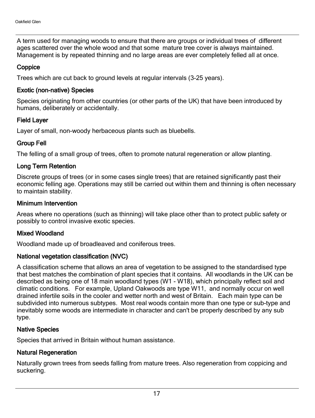A term used for managing woods to ensure that there are groups or individual trees of different ages scattered over the whole wood and that some mature tree cover is always maintained. Management is by repeated thinning and no large areas are ever completely felled all at once.

#### **Coppice**

Trees which are cut back to ground levels at regular intervals (3-25 years).

#### Exotic (non-native) Species

Species originating from other countries (or other parts of the UK) that have been introduced by humans, deliberately or accidentally.

#### Field Layer

Layer of small, non-woody herbaceous plants such as bluebells.

#### Group Fell

The felling of a small group of trees, often to promote natural regeneration or allow planting.

#### Long Term Retention

Discrete groups of trees (or in some cases single trees) that are retained significantly past their economic felling age. Operations may still be carried out within them and thinning is often necessary to maintain stability.

#### Minimum Intervention

Areas where no operations (such as thinning) will take place other than to protect public safety or possibly to control invasive exotic species.

#### Mixed Woodland

Woodland made up of broadleaved and coniferous trees.

#### National vegetation classification (NVC)

A classification scheme that allows an area of vegetation to be assigned to the standardised type that best matches the combination of plant species that it contains. All woodlands in the UK can be described as being one of 18 main woodland types (W1 - W18), which principally reflect soil and climatic conditions. For example, Upland Oakwoods are type W11, and normally occur on well drained infertile soils in the cooler and wetter north and west of Britain. Each main type can be subdivided into numerous subtypes. Most real woods contain more than one type or sub-type and inevitably some woods are intermediate in character and can't be properly described by any sub type.

#### Native Species

Species that arrived in Britain without human assistance.

#### Natural Regeneration

Naturally grown trees from seeds falling from mature trees. Also regeneration from coppicing and suckering.